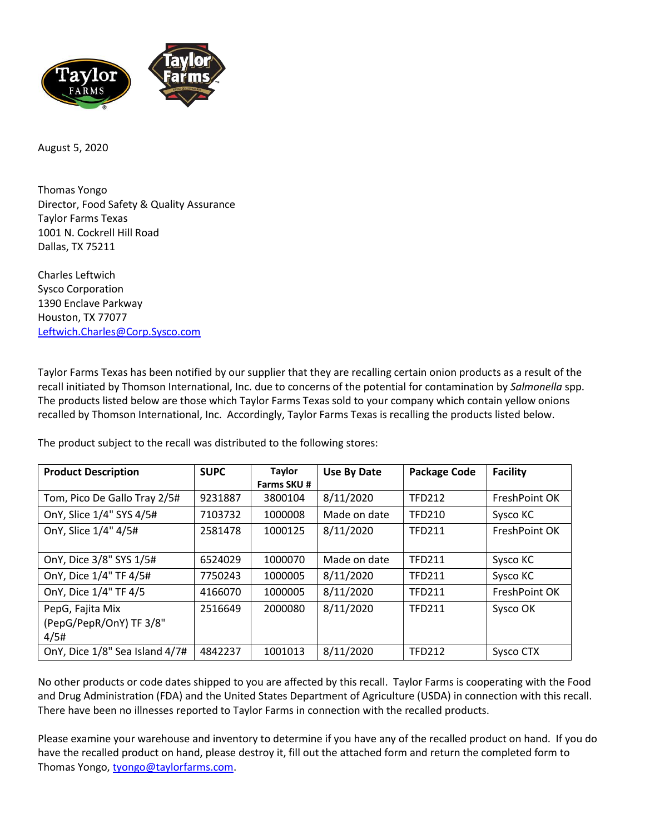

August 5, 2020

Thomas Yongo Director, Food Safety & Quality Assurance Taylor Farms Texas 1001 N. Cockrell Hill Road Dallas, TX 75211

Charles Leftwich Sysco Corporation 1390 Enclave Parkway Houston, TX 77077 [Leftwich.Charles@Corp.Sysco.com](mailto:Leftwich.Charles@Corp.Sysco.com)

Taylor Farms Texas has been notified by our supplier that they are recalling certain onion products as a result of the recall initiated by Thomson International, Inc. due to concerns of the potential for contamination by *Salmonella* spp. The products listed below are those which Taylor Farms Texas sold to your company which contain yellow onions recalled by Thomson International, Inc. Accordingly, Taylor Farms Texas is recalling the products listed below.

The product subject to the recall was distributed to the following stores:

| <b>Product Description</b>                          | <b>SUPC</b> | <b>Taylor</b><br>Farms SKU # | Use By Date  | <b>Package Code</b> | <b>Facility</b> |
|-----------------------------------------------------|-------------|------------------------------|--------------|---------------------|-----------------|
| Tom, Pico De Gallo Tray 2/5#                        | 9231887     | 3800104                      | 8/11/2020    | <b>TFD212</b>       | FreshPoint OK   |
| OnY, Slice 1/4" SYS 4/5#                            | 7103732     | 1000008                      | Made on date | <b>TFD210</b>       | Sysco KC        |
| OnY, Slice 1/4" 4/5#                                | 2581478     | 1000125                      | 8/11/2020    | <b>TFD211</b>       | FreshPoint OK   |
| OnY, Dice 3/8" SYS 1/5#                             | 6524029     | 1000070                      | Made on date | <b>TFD211</b>       | Sysco KC        |
| OnY, Dice 1/4" TF 4/5#                              | 7750243     | 1000005                      | 8/11/2020    | <b>TFD211</b>       | Sysco KC        |
| OnY, Dice 1/4" TF 4/5                               | 4166070     | 1000005                      | 8/11/2020    | <b>TFD211</b>       | FreshPoint OK   |
| PepG, Fajita Mix<br>(PepG/PepR/OnY) TF 3/8"<br>4/5# | 2516649     | 2000080                      | 8/11/2020    | <b>TFD211</b>       | Sysco OK        |
| OnY, Dice 1/8" Sea Island 4/7#                      | 4842237     | 1001013                      | 8/11/2020    | <b>TFD212</b>       | Sysco CTX       |

No other products or code dates shipped to you are affected by this recall. Taylor Farms is cooperating with the Food and Drug Administration (FDA) and the United States Department of Agriculture (USDA) in connection with this recall. There have been no illnesses reported to Taylor Farms in connection with the recalled products.

Please examine your warehouse and inventory to determine if you have any of the recalled product on hand. If you do have the recalled product on hand, please destroy it, fill out the attached form and return the completed form to Thomas Yongo, [tyongo@taylorfarms.com.](mailto:tyongo@taylorfarms.com)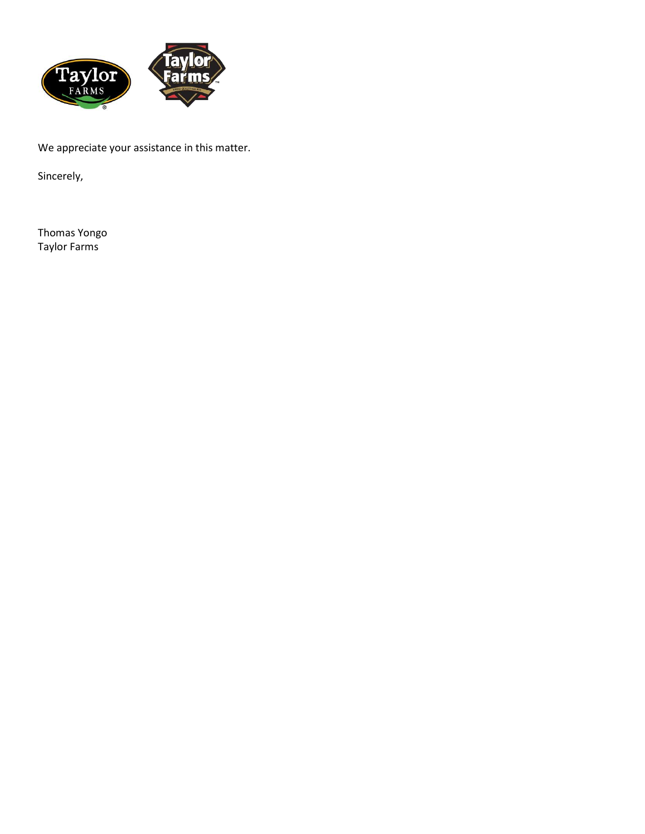

We appreciate your assistance in this matter.

Sincerely,

Thomas Yongo Taylor Farms